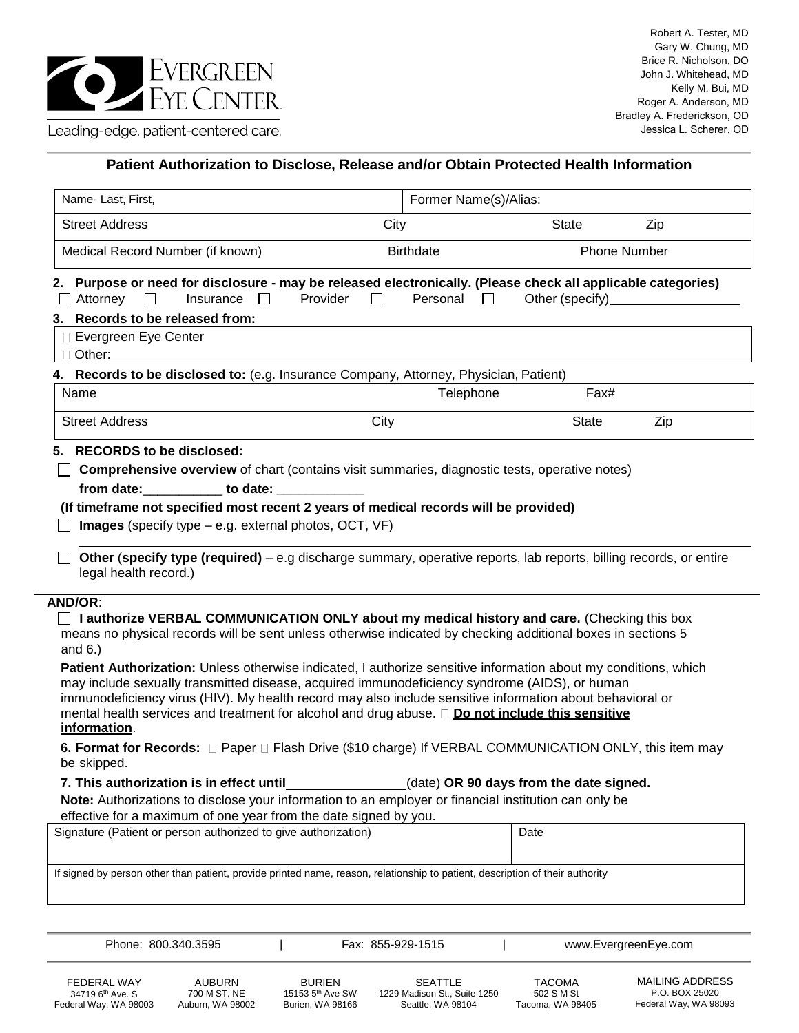

## **Patient Authorization to Disclose, Release and/or Obtain Protected Health Information**

| Name- Last, First,                                                                                                                                                                                                                                                                                                                                                                                                                                                                                                                                                                                                                                                                                                                                                                                                     | Former Name(s)/Alias:                            |                                         |                     |  |
|------------------------------------------------------------------------------------------------------------------------------------------------------------------------------------------------------------------------------------------------------------------------------------------------------------------------------------------------------------------------------------------------------------------------------------------------------------------------------------------------------------------------------------------------------------------------------------------------------------------------------------------------------------------------------------------------------------------------------------------------------------------------------------------------------------------------|--------------------------------------------------|-----------------------------------------|---------------------|--|
| <b>Street Address</b>                                                                                                                                                                                                                                                                                                                                                                                                                                                                                                                                                                                                                                                                                                                                                                                                  | City                                             | <b>State</b>                            | Zip                 |  |
| Medical Record Number (if known)                                                                                                                                                                                                                                                                                                                                                                                                                                                                                                                                                                                                                                                                                                                                                                                       | <b>Birthdate</b>                                 |                                         | <b>Phone Number</b> |  |
| 2. Purpose or need for disclosure - may be released electronically. (Please check all applicable categories)<br>Attorney<br>Insurance<br>$\Box$                                                                                                                                                                                                                                                                                                                                                                                                                                                                                                                                                                                                                                                                        | Provider<br>Personal<br>$\Box$<br>$\mathbb{R}^n$ | Other (specify)                         |                     |  |
| 3. Records to be released from:                                                                                                                                                                                                                                                                                                                                                                                                                                                                                                                                                                                                                                                                                                                                                                                        |                                                  |                                         |                     |  |
| □ Evergreen Eye Center<br>Other:                                                                                                                                                                                                                                                                                                                                                                                                                                                                                                                                                                                                                                                                                                                                                                                       |                                                  |                                         |                     |  |
| 4. Records to be disclosed to: (e.g. Insurance Company, Attorney, Physician, Patient)                                                                                                                                                                                                                                                                                                                                                                                                                                                                                                                                                                                                                                                                                                                                  |                                                  |                                         |                     |  |
| Name                                                                                                                                                                                                                                                                                                                                                                                                                                                                                                                                                                                                                                                                                                                                                                                                                   | Telephone<br>Fax#                                |                                         |                     |  |
| <b>Street Address</b>                                                                                                                                                                                                                                                                                                                                                                                                                                                                                                                                                                                                                                                                                                                                                                                                  | City                                             | <b>State</b>                            | Zip                 |  |
| <b>Comprehensive overview</b> of chart (contains visit summaries, diagnostic tests, operative notes)<br>from date: to date:<br>(If timeframe not specified most recent 2 years of medical records will be provided)                                                                                                                                                                                                                                                                                                                                                                                                                                                                                                                                                                                                    |                                                  |                                         |                     |  |
| Images (specify type - e.g. external photos, OCT, VF)<br>Other (specify type (required) – e.g discharge summary, operative reports, lab reports, billing records, or entire<br>legal health record.)                                                                                                                                                                                                                                                                                                                                                                                                                                                                                                                                                                                                                   |                                                  |                                         |                     |  |
| <b>AND/OR:</b><br>$\Box$ I authorize VERBAL COMMUNICATION ONLY about my medical history and care. (Checking this box<br>means no physical records will be sent unless otherwise indicated by checking additional boxes in sections 5<br>and $6.$ )<br>Patient Authorization: Unless otherwise indicated, I authorize sensitive information about my conditions, which<br>may include sexually transmitted disease, acquired immunodeficiency syndrome (AIDS), or human<br>immunodeficiency virus (HIV). My health record may also include sensitive information about behavioral or<br>mental health services and treatment for alcohol and drug abuse. $\Box$ Do not include this sensitive<br>information.<br>6. Format for Records: □ Paper □ Flash Drive (\$10 charge) If VERBAL COMMUNICATION ONLY, this item may |                                                  |                                         |                     |  |
| be skipped.                                                                                                                                                                                                                                                                                                                                                                                                                                                                                                                                                                                                                                                                                                                                                                                                            |                                                  |                                         |                     |  |
|                                                                                                                                                                                                                                                                                                                                                                                                                                                                                                                                                                                                                                                                                                                                                                                                                        |                                                  | (date) OR 90 days from the date signed. |                     |  |
| 7. This authorization is in effect until<br>Note: Authorizations to disclose your information to an employer or financial institution can only be<br>effective for a maximum of one year from the date signed by you.<br>Signature (Patient or person authorized to give authorization)                                                                                                                                                                                                                                                                                                                                                                                                                                                                                                                                |                                                  | Date                                    |                     |  |

FEDERAL WAY 34719 6<sup>th</sup> Ave. S

Federal Way, WA 98003

BURIEN 15153 5th Ave SW Burien, WA 98166

SEATTLE 1229 Madison St., Suite 1250 Seattle, WA 98104

Phone: 800.340.3595 | Fax: 855-929-1515 | www.EvergreenEye.com

TACOMA 502 S M St Tacoma, WA 98405